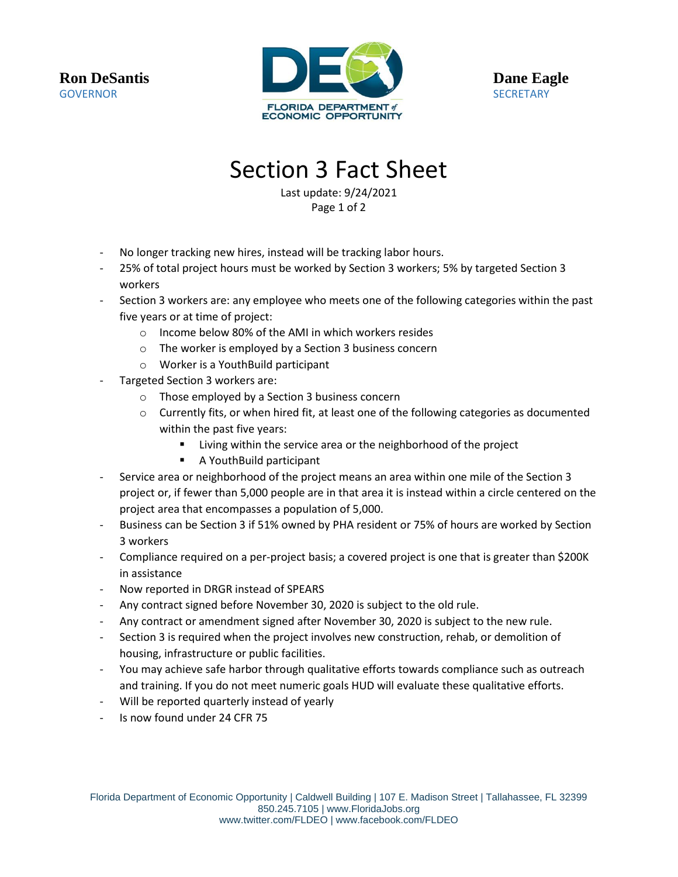**Ron DeSantis GOVERNOR** 



**Dane Eagle SECRETARY** 

## Section 3 Fact Sheet

Last update: 9/24/2021 Page 1 of 2

- No longer tracking new hires, instead will be tracking labor hours.
- 25% of total project hours must be worked by Section 3 workers; 5% by targeted Section 3 workers
- Section 3 workers are: any employee who meets one of the following categories within the past five years or at time of project:
	- o Income below 80% of the AMI in which workers resides
	- o The worker is employed by a Section 3 business concern
	- o Worker is a YouthBuild participant
- Targeted Section 3 workers are:
	- o Those employed by a Section 3 business concern
	- $\circ$  Currently fits, or when hired fit, at least one of the following categories as documented within the past five years:
		- Living within the service area or the neighborhood of the project
		- A YouthBuild participant
- Service area or neighborhood of the project means an area within one mile of the Section 3 project or, if fewer than 5,000 people are in that area it is instead within a circle centered on the project area that encompasses a population of 5,000.
- Business can be Section 3 if 51% owned by PHA resident or 75% of hours are worked by Section 3 workers
- Compliance required on a per-project basis; a covered project is one that is greater than \$200K in assistance
- Now reported in DRGR instead of SPEARS
- Any contract signed before November 30, 2020 is subject to the old rule.
- Any contract or amendment signed after November 30, 2020 is subject to the new rule.
- Section 3 is required when the project involves new construction, rehab, or demolition of housing, infrastructure or public facilities.
- You may achieve safe harbor through qualitative efforts towards compliance such as outreach and training. If you do not meet numeric goals HUD will evaluate these qualitative efforts.
- Will be reported quarterly instead of yearly
- Is now found under 24 CFR 75